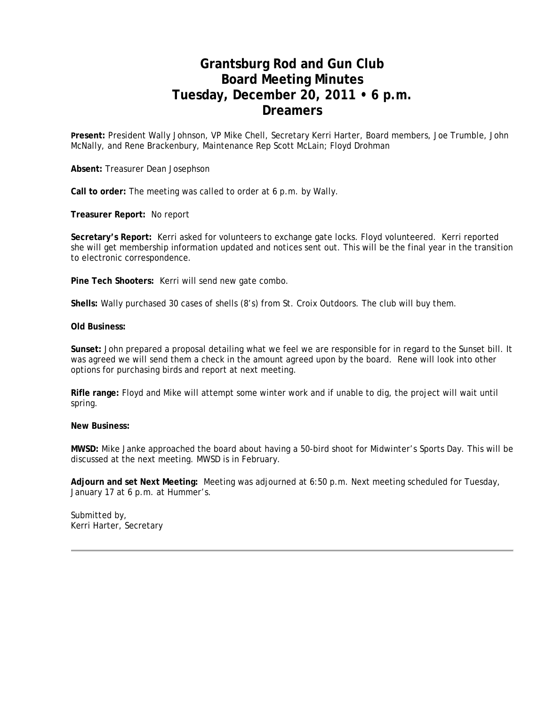## **Grantsburg Rod and Gun Club Board Meeting Minutes Tuesday, December 20, 2011 • 6 p.m. Dreamers**

**Present:** President Wally Johnson, VP Mike Chell, Secretary Kerri Harter, Board members, Joe Trumble, John McNally, and Rene Brackenbury, Maintenance Rep Scott McLain; Floyd Drohman

**Absent:** Treasurer Dean Josephson

**Call to order:** The meeting was called to order at 6 p.m. by Wally.

**Treasurer Report:** No report

**Secretary's Report:** Kerri asked for volunteers to exchange gate locks. Floyd volunteered. Kerri reported she will get membership information updated and notices sent out. This will be the final year in the transition to electronic correspondence.

**Pine Tech Shooters:** Kerri will send new gate combo.

**Shells:** Wally purchased 30 cases of shells (8's) from St. Croix Outdoors. The club will buy them.

**Old Business:**

**Sunset:** John prepared a proposal detailing what we feel we are responsible for in regard to the Sunset bill. It was agreed we will send them a check in the amount agreed upon by the board. Rene will look into other options for purchasing birds and report at next meeting.

**Rifle range:** Floyd and Mike will attempt some winter work and if unable to dig, the project will wait until spring.

#### **New Business:**

**MWSD:** Mike Janke approached the board about having a 50-bird shoot for Midwinter's Sports Day. This will be discussed at the next meeting. MWSD is in February.

**Adjourn and set Next Meeting:** Meeting was adjourned at 6:50 p.m. Next meeting scheduled for Tuesday, January 17 at 6 p.m. at Hummer's.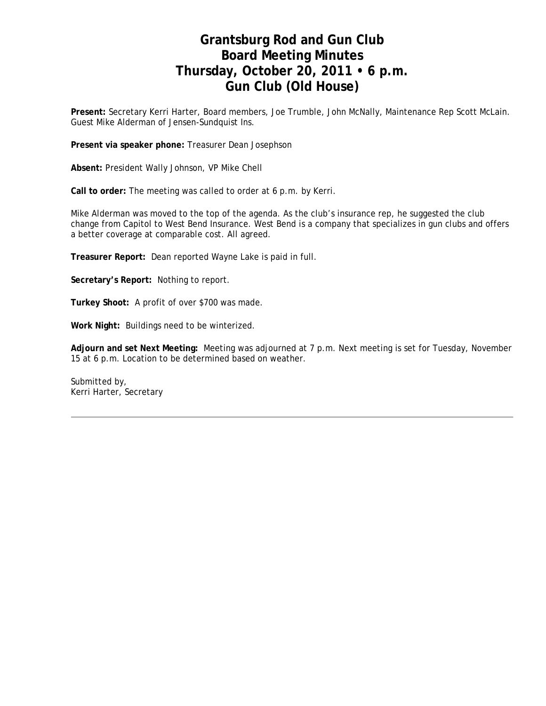## **Grantsburg Rod and Gun Club Board Meeting Minutes Thursday, October 20, 2011 • 6 p.m. Gun Club (Old House)**

**Present:** Secretary Kerri Harter, Board members, Joe Trumble, John McNally, Maintenance Rep Scott McLain. Guest Mike Alderman of Jensen-Sundquist Ins.

**Present via speaker phone:** Treasurer Dean Josephson

**Absent:** President Wally Johnson, VP Mike Chell

**Call to order:** The meeting was called to order at 6 p.m. by Kerri.

Mike Alderman was moved to the top of the agenda. As the club's insurance rep, he suggested the club change from Capitol to West Bend Insurance. West Bend is a company that specializes in gun clubs and offers a better coverage at comparable cost. All agreed.

**Treasurer Report:** Dean reported Wayne Lake is paid in full.

**Secretary's Report:** Nothing to report.

**Turkey Shoot:** A profit of over \$700 was made.

**Work Night:** Buildings need to be winterized.

**Adjourn and set Next Meeting:** Meeting was adjourned at 7 p.m. Next meeting is set for Tuesday, November 15 at 6 p.m. Location to be determined based on weather.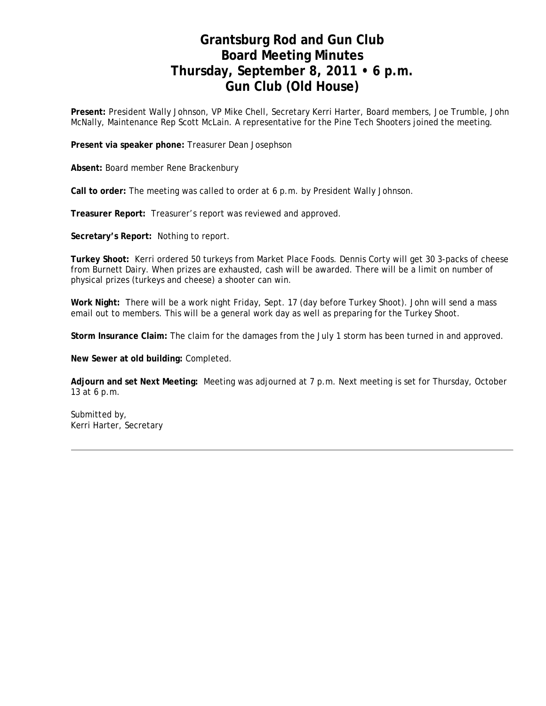# **Grantsburg Rod and Gun Club Board Meeting Minutes Thursday, September 8, 2011 • 6 p.m. Gun Club (Old House)**

**Present:** President Wally Johnson, VP Mike Chell, Secretary Kerri Harter, Board members, Joe Trumble, John McNally, Maintenance Rep Scott McLain. A representative for the Pine Tech Shooters joined the meeting.

**Present via speaker phone:** Treasurer Dean Josephson

**Absent:** Board member Rene Brackenbury

**Call to order:** The meeting was called to order at 6 p.m. by President Wally Johnson.

**Treasurer Report:** Treasurer's report was reviewed and approved.

**Secretary's Report:** Nothing to report.

**Turkey Shoot:** Kerri ordered 50 turkeys from Market Place Foods. Dennis Corty will get 30 3-packs of cheese from Burnett Dairy. When prizes are exhausted, cash will be awarded. There will be a limit on number of physical prizes (turkeys and cheese) a shooter can win.

**Work Night:** There will be a work night Friday, Sept. 17 (day before Turkey Shoot). John will send a mass email out to members. This will be a general work day as well as preparing for the Turkey Shoot.

**Storm Insurance Claim:** The claim for the damages from the July 1 storm has been turned in and approved.

**New Sewer at old building:** Completed.

**Adjourn and set Next Meeting:** Meeting was adjourned at 7 p.m. Next meeting is set for Thursday, October 13 at 6 p.m.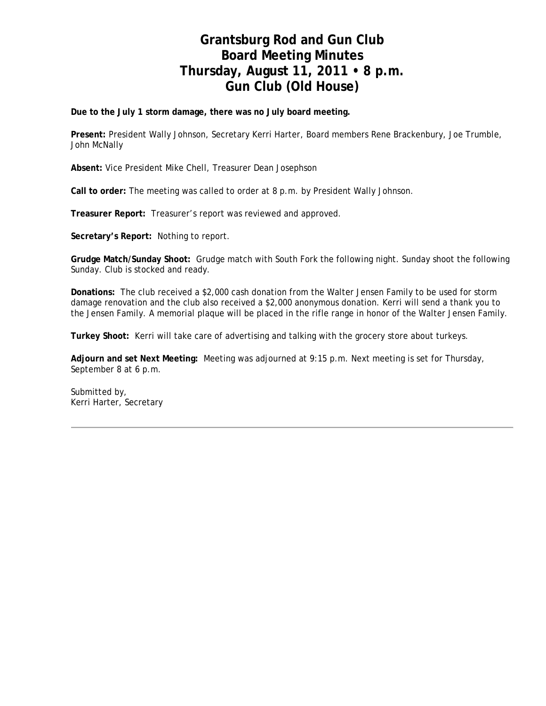# **Grantsburg Rod and Gun Club Board Meeting Minutes Thursday, August 11, 2011 • 8 p.m. Gun Club (Old House)**

**Due to the July 1 storm damage, there was no July board meeting.**

**Present:** President Wally Johnson, Secretary Kerri Harter, Board members Rene Brackenbury, Joe Trumble, John McNally

**Absent:** Vice President Mike Chell, Treasurer Dean Josephson

**Call to order:** The meeting was called to order at 8 p.m. by President Wally Johnson.

**Treasurer Report:** Treasurer's report was reviewed and approved.

**Secretary's Report:** Nothing to report.

**Grudge Match/Sunday Shoot:** Grudge match with South Fork the following night. Sunday shoot the following Sunday. Club is stocked and ready.

**Donations:** The club received a \$2,000 cash donation from the Walter Jensen Family to be used for storm damage renovation and the club also received a \$2,000 anonymous donation. Kerri will send a thank you to the Jensen Family. A memorial plaque will be placed in the rifle range in honor of the Walter Jensen Family.

**Turkey Shoot:** Kerri will take care of advertising and talking with the grocery store about turkeys.

**Adjourn and set Next Meeting:** Meeting was adjourned at 9:15 p.m. Next meeting is set for Thursday, September 8 at 6 p.m.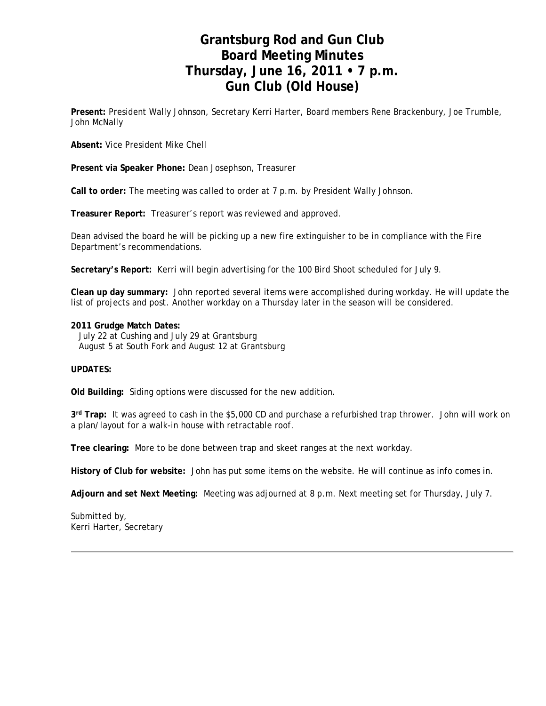# **Grantsburg Rod and Gun Club Board Meeting Minutes Thursday, June 16, 2011 • 7 p.m. Gun Club (Old House)**

**Present:** President Wally Johnson, Secretary Kerri Harter, Board members Rene Brackenbury, Joe Trumble, John McNally

**Absent:** Vice President Mike Chell

**Present via Speaker Phone:** Dean Josephson, Treasurer

**Call to order:** The meeting was called to order at 7 p.m. by President Wally Johnson.

**Treasurer Report:** Treasurer's report was reviewed and approved.

Dean advised the board he will be picking up a new fire extinguisher to be in compliance with the Fire Department's recommendations.

**Secretary's Report:** Kerri will begin advertising for the 100 Bird Shoot scheduled for July 9.

**Clean up day summary:** John reported several items were accomplished during workday. He will update the list of projects and post. Another workday on a Thursday later in the season will be considered.

#### **2011 Grudge Match Dates:**

 July 22 at Cushing and July 29 at Grantsburg August 5 at South Fork and August 12 at Grantsburg

#### **UPDATES:**

**Old Building:** Siding options were discussed for the new addition.

**3rd Trap:** It was agreed to cash in the \$5,000 CD and purchase a refurbished trap thrower. John will work on a plan/layout for a walk-in house with retractable roof.

**Tree clearing:** More to be done between trap and skeet ranges at the next workday.

**History of Club for website:** John has put some items on the website. He will continue as info comes in.

**Adjourn and set Next Meeting:** Meeting was adjourned at 8 p.m. Next meeting set for Thursday, July 7.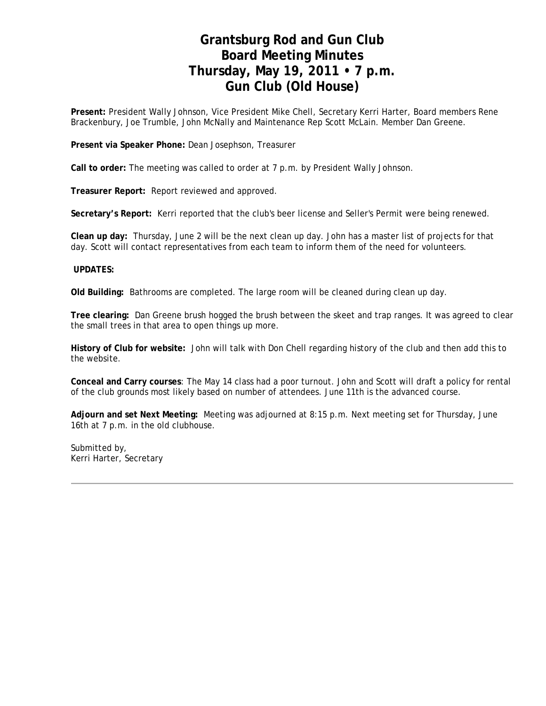## **Grantsburg Rod and Gun Club Board Meeting Minutes Thursday, May 19, 2011 • 7 p.m. Gun Club (Old House)**

**Present:** President Wally Johnson, Vice President Mike Chell, Secretary Kerri Harter, Board members Rene Brackenbury, Joe Trumble, John McNally and Maintenance Rep Scott McLain. Member Dan Greene.

**Present via Speaker Phone:** Dean Josephson, Treasurer

**Call to order:** The meeting was called to order at 7 p.m. by President Wally Johnson.

**Treasurer Report:** Report reviewed and approved.

**Secretary's Report:** Kerri reported that the club's beer license and Seller's Permit were being renewed.

**Clean up day:** Thursday, June 2 will be the next clean up day. John has a master list of projects for that day. Scott will contact representatives from each team to inform them of the need for volunteers.

### **UPDATES:**

**Old Building:** Bathrooms are completed. The large room will be cleaned during clean up day.

**Tree clearing:** Dan Greene brush hogged the brush between the skeet and trap ranges. It was agreed to clear the small trees in that area to open things up more.

**History of Club for website:** John will talk with Don Chell regarding history of the club and then add this to the website.

**Conceal and Carry courses**: The May 14 class had a poor turnout. John and Scott will draft a policy for rental of the club grounds most likely based on number of attendees. June 11th is the advanced course.

**Adjourn and set Next Meeting:** Meeting was adjourned at 8:15 p.m. Next meeting set for Thursday, June 16th at 7 p.m. in the old clubhouse.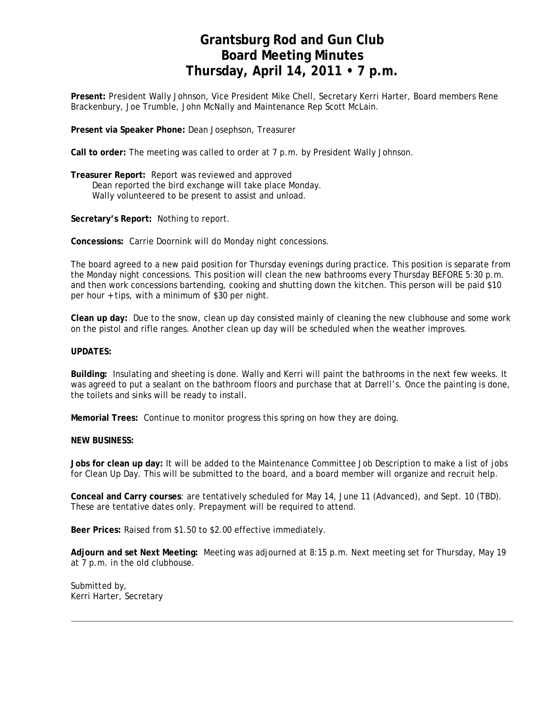# **Grantsburg Rod and Gun Club Board Meeting Minutes Thursday, April 14, 2011 • 7 p.m.**

**Present:** President Wally Johnson, Vice President Mike Chell, Secretary Kerri Harter, Board members Rene Brackenbury, Joe Trumble, John McNally and Maintenance Rep Scott McLain.

**Present via Speaker Phone:** Dean Josephson, Treasurer

**Call to order:** The meeting was called to order at 7 p.m. by President Wally Johnson.

**Treasurer Report:** Report was reviewed and approved Dean reported the bird exchange will take place Monday. Wally volunteered to be present to assist and unload.

**Secretary's Report:** Nothing to report.

**Concessions:** Carrie Doornink will do Monday night concessions.

The board agreed to a new paid position for Thursday evenings during practice. This position is separate from the Monday night concessions. This position will clean the new bathrooms every Thursday BEFORE 5:30 p.m. and then work concessions bartending, cooking and shutting down the kitchen. This person will be paid \$10 per hour + tips, with a minimum of \$30 per night.

**Clean up day:** Due to the snow, clean up day consisted mainly of cleaning the new clubhouse and some work on the pistol and rifle ranges. Another clean up day will be scheduled when the weather improves.

#### **UPDATES:**

**Building:** Insulating and sheeting is done. Wally and Kerri will paint the bathrooms in the next few weeks. It was agreed to put a sealant on the bathroom floors and purchase that at Darrell's. Once the painting is done, the toilets and sinks will be ready to install.

**Memorial Trees:** Continue to monitor progress this spring on how they are doing.

#### **NEW BUSINESS:**

**Jobs for clean up day:** It will be added to the Maintenance Committee Job Description to make a list of jobs for Clean Up Day. This will be submitted to the board, and a board member will organize and recruit help.

**Conceal and Carry courses**: are tentatively scheduled for May 14, June 11 (Advanced), and Sept. 10 (TBD). These are tentative dates only. Prepayment will be required to attend.

**Beer Prices:** Raised from \$1.50 to \$2.00 effective immediately.

**Adjourn and set Next Meeting:** Meeting was adjourned at 8:15 p.m. Next meeting set for Thursday, May 19 at 7 p.m. in the old clubhouse.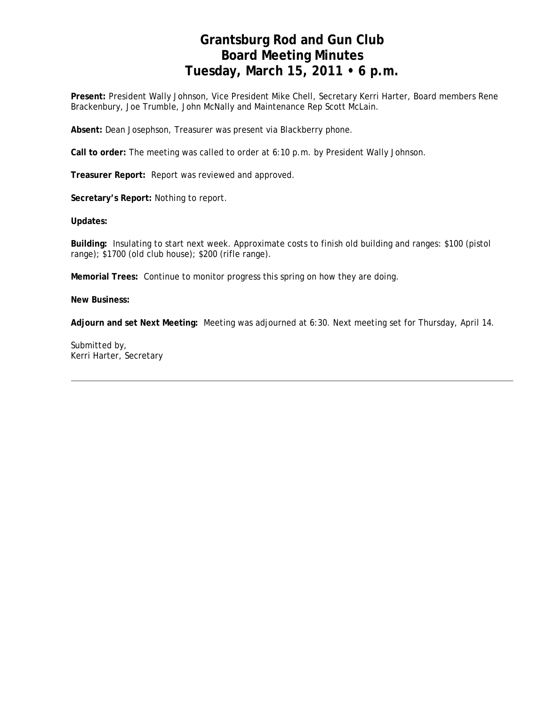# **Grantsburg Rod and Gun Club Board Meeting Minutes Tuesday, March 15, 2011 • 6 p.m.**

**Present:** President Wally Johnson, Vice President Mike Chell, Secretary Kerri Harter, Board members Rene Brackenbury, Joe Trumble, John McNally and Maintenance Rep Scott McLain.

**Absent:** Dean Josephson, Treasurer was present via Blackberry phone.

**Call to order:** The meeting was called to order at 6:10 p.m. by President Wally Johnson.

**Treasurer Report:** Report was reviewed and approved.

**Secretary's Report:** Nothing to report.

**Updates:**

**Building:** Insulating to start next week. Approximate costs to finish old building and ranges: \$100 (pistol range); \$1700 (old club house); \$200 (rifle range).

**Memorial Trees:** Continue to monitor progress this spring on how they are doing.

**New Business:** 

**Adjourn and set Next Meeting:** Meeting was adjourned at 6:30. Next meeting set for Thursday, April 14.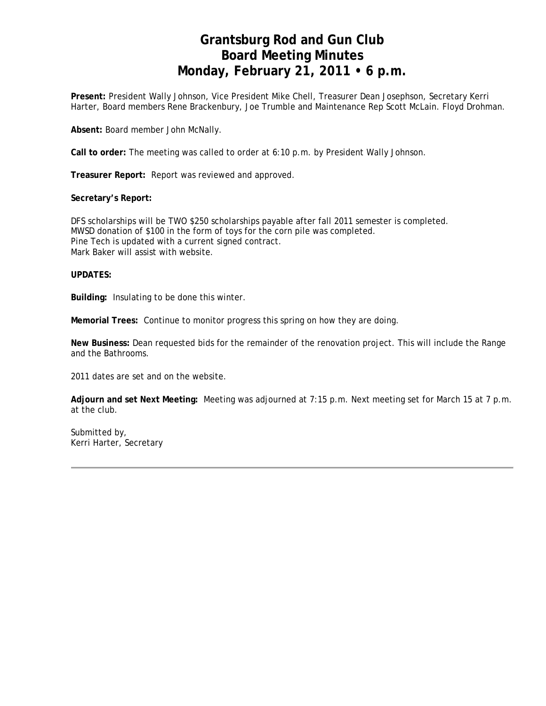# **Grantsburg Rod and Gun Club Board Meeting Minutes Monday, February 21, 2011 • 6 p.m.**

**Present:** President Wally Johnson, Vice President Mike Chell, Treasurer Dean Josephson, Secretary Kerri Harter, Board members Rene Brackenbury, Joe Trumble and Maintenance Rep Scott McLain. Floyd Drohman.

**Absent:** Board member John McNally.

**Call to order:** The meeting was called to order at 6:10 p.m. by President Wally Johnson.

**Treasurer Report:** Report was reviewed and approved.

#### **Secretary's Report:**

DFS scholarships will be TWO \$250 scholarships payable after fall 2011 semester is completed. MWSD donation of \$100 in the form of toys for the corn pile was completed. Pine Tech is updated with a current signed contract. Mark Baker will assist with website.

### **UPDATES:**

**Building:** Insulating to be done this winter.

**Memorial Trees:** Continue to monitor progress this spring on how they are doing.

**New Business:** Dean requested bids for the remainder of the renovation project. This will include the Range and the Bathrooms.

2011 dates are set and on the website.

**Adjourn and set Next Meeting:** Meeting was adjourned at 7:15 p.m. Next meeting set for March 15 at 7 p.m. at the club.